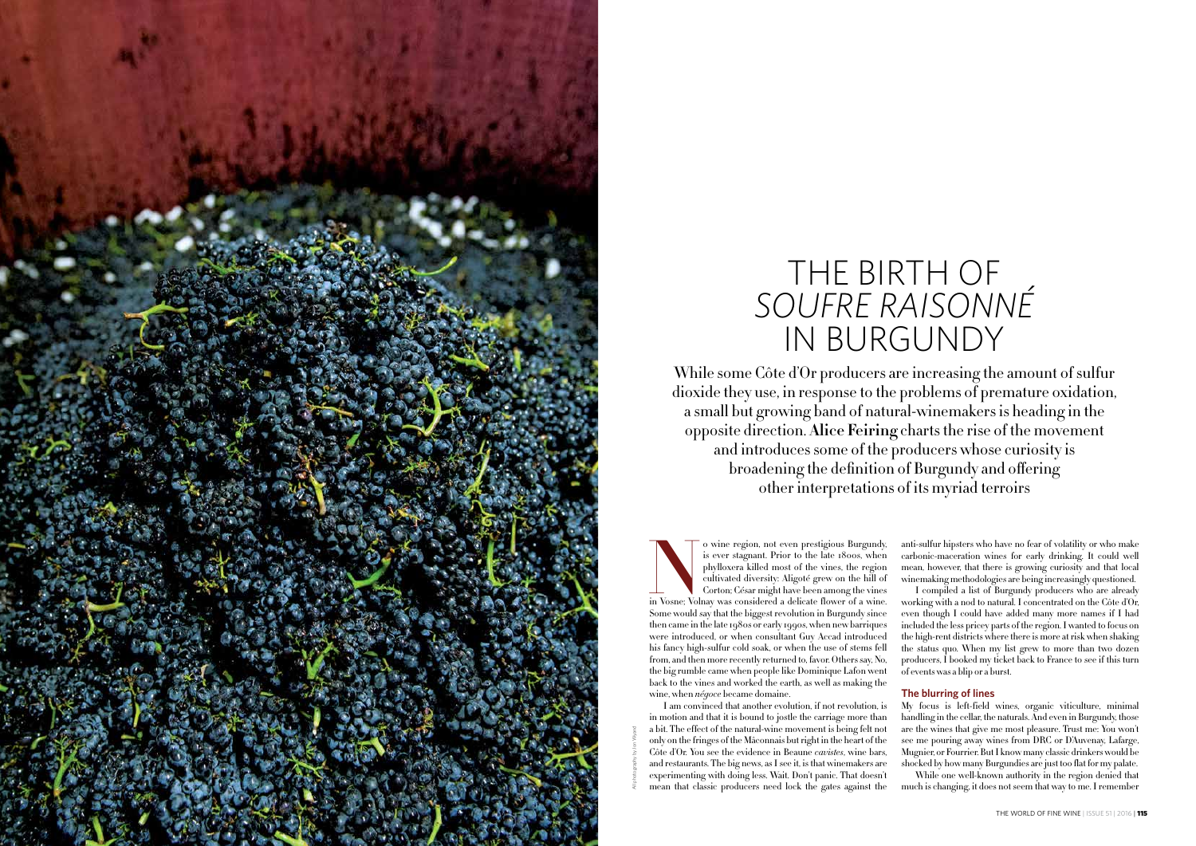

While some Côte d'Or producers are increasing the amount of sulfur dioxide they use, in response to the problems of premature oxidation, a small but growing band of natural-winemakers is heading in the opposite direction. **Alice Feiring** charts the rise of the movement and introduces some of the producers whose curiosity is broadening the definition of Burgundy and offering other interpretations of its myriad terroirs

# THE BIRTH OF *SOUFRE RAISONNÉ* IN BURGUNDY

O wine region, not even prestigious Burgundy, is ever stagnant. Prior to the late 1800s, when phylloxera killed most of the vines, the region cultivated diversity: Aligoté grew on the hill of Corton; César might have been is ever stagnant. Prior to the late 1800s, when phylloxera killed most of the vines, the region cultivated diversity: Aligoté grew on the hill of Corton; César might have been among the vines Some would say that the biggest revolution in Burgundy since then came in the late 1980s or early 1990s, when new barriques were introduced, or when consultant Guy Accad introduced his fancy high-sulfur cold soak, or when the use of stems fell from, and then more recently returned to, favor. Others say, No, the big rumble came when people like Dominique Lafon went back to the vines and worked the earth, as well as making the wine, when *négoce* became domaine.

anti-sulfur hipsters who have no fear of volatility or who make carbonic-maceration wines for early drinking. It could well mean, however, that there is growing curiosity and that local winemaking methodologies are being increasingly questioned.

I am convinced that another evolution, if not revolution, is in motion and that it is bound to jostle the carriage more than a bit. The effect of the natural-wine movement is being felt not only on the fringes of the Mâconnais but right in the heart of the Côte d'Or. You see the evidence in Beaune *cavistes*, wine bars, and restaurants. The big news, as I see it, is that winemakers are experimenting with doing less. Wait. Don't panic. That doesn't mean that classic producers need lock the gates against the My focus is left-field wines, organic viticulture, minimal handling in the cellar, the naturals. And even in Burgundy, those are the wines that give me most pleasure. Trust me: You won't see me pouring away wines from DRC or D'Auvenay, Lafarge, Mugnier, or Fourrier. But I know many classic drinkers would be shocked by how many Burgundies are just too flat for my palate. While one well-known authority in the region denied that much is changing, it does not seem that way to me. I remember

I compiled a list of Burgundy producers who are already working with a nod to natural. I concentrated on the Côte d'Or, even though I could have added many more names if I had included the less pricey parts of the region. I wanted to focus on the high-rent districts where there is more at risk when shaking the status quo. When my list grew to more than two dozen producers, I booked my ticket back to France to see if this turn of events was a blip or a burst.

#### **The blurring of lines**

All photography by Jon Wyand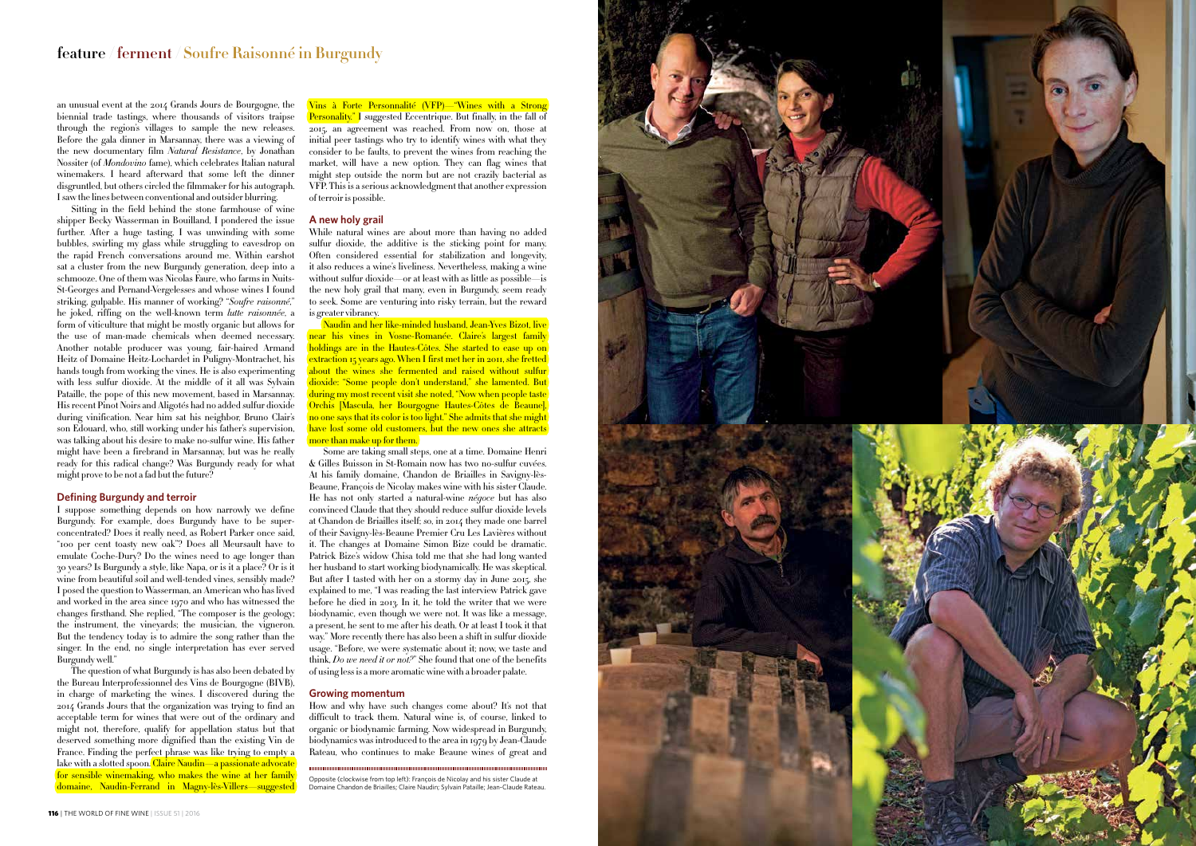## **feature / ferment / Soufre Raisonné in Burgundy**



Sitting in the field behind the stone farmhouse of wine shipper Becky Wasserman in Bouilland, I pondered the issue further. After a huge tasting, I was unwinding with some bubbles, swirling my glass while struggling to eavesdrop on the rapid French conversations around me. Within earshot sat a cluster from the new Burgundy generation, deep into a schmooze. One of them was Nicolas Faure, who farms in Nuits-St-Georges and Pernand-Vergelesses and whose wines I found striking, gulpable. His manner of working? "*Soufre raisonné*," he joked, riffing on the well-known term *lutte raisonnée*, a form of viticulture that might be mostly organic but allows for the use of man-made chemicals when deemed necessary. Another notable producer was young, fair-haired Armand Heitz of Domaine Heitz-Lochardet in Puligny-Montrachet, his hands tough from working the vines. He is also experimenting with less sulfur dioxide. At the middle of it all was Sylvain Pataille, the pope of this new movement, based in Marsannay. His recent Pinot Noirs and Aligotés had no added sulfur dioxide during vinification. Near him sat his neighbor, Bruno Clair's son Edouard, who, still working under his father's supervision, was talking about his desire to make no-sulfur wine. His father might have been a firebrand in Marsannay, but was he really ready for this radical change? Was Burgundy ready for what might prove to be not a fad but the future?

an unusual event at the 2014 Grands Jours de Bourgogne, the biennial trade tastings, where thousands of visitors traipse through the region's villages to sample the new releases. Before the gala dinner in Marsannay, there was a viewing of the new documentary film *Natural Resistance*, by Jonathan Nossiter (of *Mondovino* fame), which celebrates Italian natural winemakers. I heard afterward that some left the dinner disgruntled, but others circled the filmmaker for his autograph. I saw the lines between conventional and outsider blurring.

#### **Defining Burgundy and terroir**

I suppose something depends on how narrowly we define Burgundy. For example, does Burgundy have to be superconcentrated? Does it really need, as Robert Parker once said, "100 per cent toasty new oak"? Does all Meursault have to emulate Coche-Dury? Do the wines need to age longer than 30 years? Is Burgundy a style, like Napa, or is it a place? Or is it wine from beautiful soil and well-tended vines, sensibly made? I posed the question to Wasserman, an American who has lived and worked in the area since 1970 and who has witnessed the changes firsthand. She replied, "The composer is the geology; the instrument, the vineyards; the musician, the vigneron. But the tendency today is to admire the song rather than the singer. In the end, no single interpretation has ever served Burgundy well."

The question of what Burgundy is has also been debated by the Bureau Interprofessionnel des Vins de Bourgogne (BIVB), in charge of marketing the wines. I discovered during the 2014 Grands Jours that the organization was trying to find an acceptable term for wines that were out of the ordinary and might not, therefore, qualify for appellation status but that deserved something more dignified than the existing Vin de France. Finding the perfect phrase was like trying to empty a lake with a slotted spoon. Claire Naudin—a passionate advocate for sensible winemaking, who makes the wine at her family domaine, Naudin-Ferrand in Magny-lès-Villers—suggested

Vins à Forte Personnalité (VFP)—"Wines with a Strong **Personality.**" I suggested Eccentrique. But finally, in the fall of 2015, an agreement was reached. From now on, those at initial peer tastings who try to identify wines with what they consider to be faults, to prevent the wines from reaching the market, will have a new option. They can flag wines that might step outside the norm but are not crazily bacterial as VFP. This is a serious acknowledgment that another expression of terroir is possible.

#### **A new holy grail**

While natural wines are about more than having no added sulfur dioxide, the additive is the sticking point for many. Often considered essential for stabilization and longevity, it also reduces a wine's liveliness. Nevertheless, making a wine without sulfur dioxide—or at least with as little as possible—is the new holy grail that many, even in Burgundy, seem ready to seek. Some are venturing into risky terrain, but the reward is greater vibrancy.

Naudin and her like-minded husband, Jean-Yves Bizot, live near his vines in Vosne-Romanée. Claire's largest family holdings are in the Hautes-Côtes. She started to ease up on extraction 15 years ago. When I first met her in 2011, she fretted bout the wines she fermented and raised without sulfur dioxide: "Some people don't understand," she lamented. But during my most recent visit she noted, "Now when people taste Orchis [Mascula, her Bourgogne Hautes-Côtes de Beaune],  $\frac{1}{10}$  one says that its color is too light." She admits that she might  $\overline{\text{have}}$  lost some old customers, but the new ones she attracts more than make up for them.

Some are taking small steps, one at a time. Domaine Henri & Gilles Buisson in St-Romain now has two no-sulfur cuvées. At his family domaine, Chandon de Briailles in Savigny-lès-Beaune, François de Nicolay makes wine with his sister Claude. He has not only started a natural-wine *négoce* but has also convinced Claude that they should reduce sulfur dioxide levels at Chandon de Briailles itself; so, in 2014 they made one barrel of their Savigny-lès-Beaune Premier Cru Les Lavières without it. The changes at Domaine Simon Bize could be dramatic. Patrick Bize's widow Chisa told me that she had long wanted her husband to start working biodynamically. He was skeptical. But after I tasted with her on a stormy day in June 2015, she explained to me, "I was reading the last interview Patrick gave before he died in 2013. In it, he told the writer that we were biodynamic, even though we were not. It was like a message, a present, he sent to me after his death. Or at least I took it that way." More recently there has also been a shift in sulfur dioxide usage. "Before, we were systematic about it; now, we taste and think, *Do we need it or not?*" She found that one of the benefits of using less is a more aromatic wine with a broader palate.

#### **Growing momentum**

How and why have such changes come about? It's not that difficult to track them. Natural wine is, of course, linked to organic or biodynamic farming. Now widespread in Burgundy, biodynamics was introduced to the area in 1979 by Jean-Claude Rateau, who continues to make Beaune wines of great and

Opposite (clockwise from top left): François de Nicolay and his sister Claude at Domaine Chandon de Briailles; Claire Naudin; Sylvain Pataille; Jean-Claude Rateau.